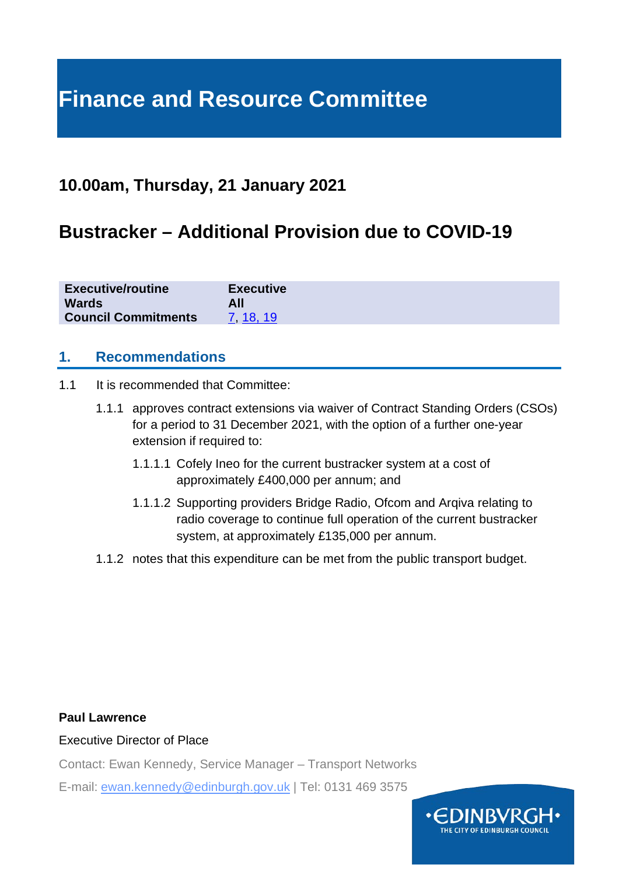# **Finance and Resource Committee**

# **10.00am, Thursday, 21 January 2021**

# **Bustracker – Additional Provision due to COVID-19**

| <b>Executive/routine</b>   | <b>Executive</b> |
|----------------------------|------------------|
| <b>Wards</b>               | All              |
| <b>Council Commitments</b> | 7 18 19          |

#### **1. Recommendations**

- 1.1 It is recommended that Committee:
	- 1.1.1 approves contract extensions via waiver of Contract Standing Orders (CSOs) for a period to 31 December 2021, with the option of a further one-year extension if required to:
		- 1.1.1.1 Cofely Ineo for the current bustracker system at a cost of approximately £400,000 per annum; and
		- 1.1.1.2 Supporting providers Bridge Radio, Ofcom and Arqiva relating to radio coverage to continue full operation of the current bustracker system, at approximately £135,000 per annum.
	- 1.1.2 notes that this expenditure can be met from the public transport budget.

#### **Paul Lawrence**

#### Executive Director of Place

Contact: Ewan Kennedy, Service Manager – Transport Networks

E-mail: ewan.kennedy@edinburgh.gov.uk | Tel: 0131 469 3575

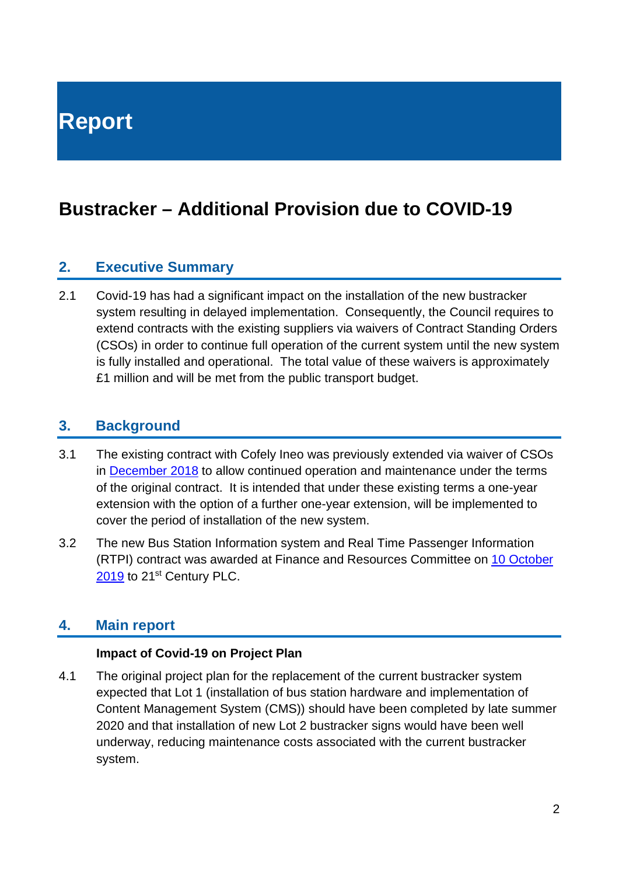# **Bustracker – Additional Provision due to COVID-19**

#### **2. Executive Summary**

2.1 Covid-19 has had a significant impact on the installation of the new bustracker system resulting in delayed implementation. Consequently, the Council requires to extend contracts with the existing suppliers via waivers of Contract Standing Orders (CSOs) in order to continue full operation of the current system until the new system is fully installed and operational. The total value of these waivers is approximately £1 million and will be met from the public transport budget.

#### **3. Background**

- 3.1 The existing contract with Cofely Ineo was previously extended via waiver of CSOs in [December 2018](https://democracy.edinburgh.gov.uk/CeListDocuments.aspx?CommitteeId=140&MeetingId=2310&DF=04%2f12%2f2018&Ver=2) to allow continued operation and maintenance under the terms of the original contract. It is intended that under these existing terms a one-year extension with the option of a further one-year extension, will be implemented to cover the period of installation of the new system.
- 3.2 The new Bus Station Information system and Real Time Passenger Information (RTPI) contract was awarded at Finance and Resources Committee on 10 October [2019](https://democracy.edinburgh.gov.uk/ieListDocuments.aspx?CId=140&MId=346&Ver=4) to 21<sup>st</sup> Century PLC.

#### **4. Main report**

#### **Impact of Covid-19 on Project Plan**

4.1 The original project plan for the replacement of the current bustracker system expected that Lot 1 (installation of bus station hardware and implementation of Content Management System (CMS)) should have been completed by late summer 2020 and that installation of new Lot 2 bustracker signs would have been well underway, reducing maintenance costs associated with the current bustracker system.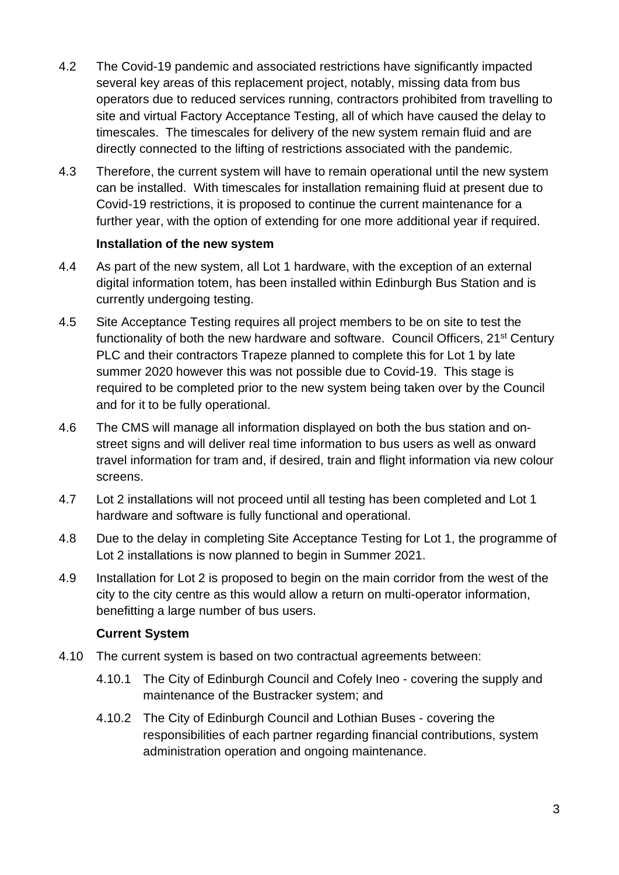- 4.2 The Covid-19 pandemic and associated restrictions have significantly impacted several key areas of this replacement project, notably, missing data from bus operators due to reduced services running, contractors prohibited from travelling to site and virtual Factory Acceptance Testing, all of which have caused the delay to timescales. The timescales for delivery of the new system remain fluid and are directly connected to the lifting of restrictions associated with the pandemic.
- 4.3 Therefore, the current system will have to remain operational until the new system can be installed. With timescales for installation remaining fluid at present due to Covid-19 restrictions, it is proposed to continue the current maintenance for a further year, with the option of extending for one more additional year if required.

#### **Installation of the new system**

- 4.4 As part of the new system, all Lot 1 hardware, with the exception of an external digital information totem, has been installed within Edinburgh Bus Station and is currently undergoing testing.
- 4.5 Site Acceptance Testing requires all project members to be on site to test the functionality of both the new hardware and software. Council Officers, 21st Century PLC and their contractors Trapeze planned to complete this for Lot 1 by late summer 2020 however this was not possible due to Covid-19. This stage is required to be completed prior to the new system being taken over by the Council and for it to be fully operational.
- 4.6 The CMS will manage all information displayed on both the bus station and onstreet signs and will deliver real time information to bus users as well as onward travel information for tram and, if desired, train and flight information via new colour screens.
- 4.7 Lot 2 installations will not proceed until all testing has been completed and Lot 1 hardware and software is fully functional and operational.
- 4.8 Due to the delay in completing Site Acceptance Testing for Lot 1, the programme of Lot 2 installations is now planned to begin in Summer 2021.
- 4.9 Installation for Lot 2 is proposed to begin on the main corridor from the west of the city to the city centre as this would allow a return on multi-operator information, benefitting a large number of bus users.

#### **Current System**

- 4.10 The current system is based on two contractual agreements between:
	- 4.10.1 The City of Edinburgh Council and Cofely Ineo covering the supply and maintenance of the Bustracker system; and
	- 4.10.2 The City of Edinburgh Council and Lothian Buses covering the responsibilities of each partner regarding financial contributions, system administration operation and ongoing maintenance.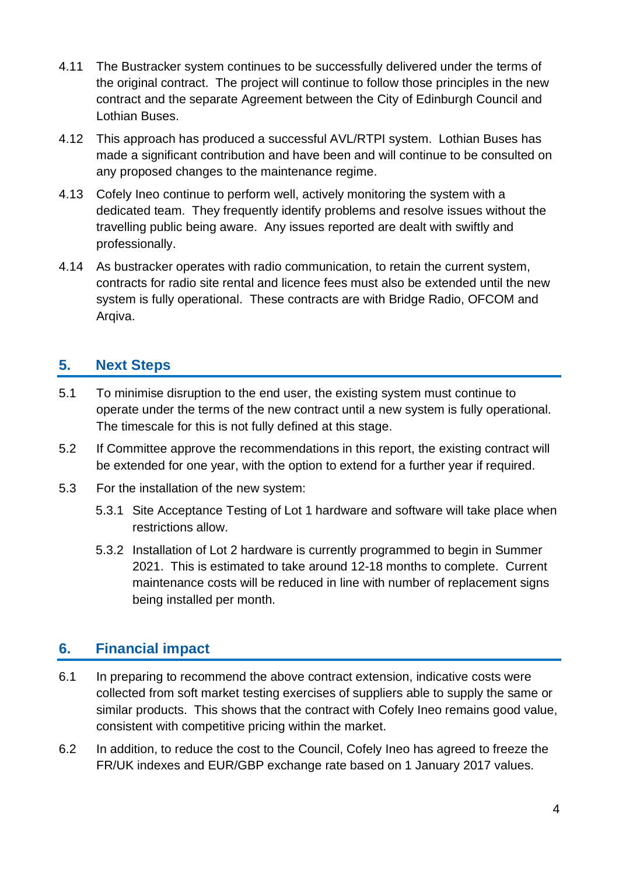- 4.11 The Bustracker system continues to be successfully delivered under the terms of the original contract. The project will continue to follow those principles in the new contract and the separate Agreement between the City of Edinburgh Council and Lothian Buses.
- 4.12 This approach has produced a successful AVL/RTPI system. Lothian Buses has made a significant contribution and have been and will continue to be consulted on any proposed changes to the maintenance regime.
- 4.13 Cofely Ineo continue to perform well, actively monitoring the system with a dedicated team. They frequently identify problems and resolve issues without the travelling public being aware. Any issues reported are dealt with swiftly and professionally.
- 4.14 As bustracker operates with radio communication, to retain the current system, contracts for radio site rental and licence fees must also be extended until the new system is fully operational. These contracts are with Bridge Radio, OFCOM and Arqiva.

## **5. Next Steps**

- 5.1 To minimise disruption to the end user, the existing system must continue to operate under the terms of the new contract until a new system is fully operational. The timescale for this is not fully defined at this stage.
- 5.2 If Committee approve the recommendations in this report, the existing contract will be extended for one year, with the option to extend for a further year if required.
- 5.3 For the installation of the new system:
	- 5.3.1 Site Acceptance Testing of Lot 1 hardware and software will take place when restrictions allow.
	- 5.3.2 Installation of Lot 2 hardware is currently programmed to begin in Summer 2021. This is estimated to take around 12-18 months to complete. Current maintenance costs will be reduced in line with number of replacement signs being installed per month.

### **6. Financial impact**

- 6.1 In preparing to recommend the above contract extension, indicative costs were collected from soft market testing exercises of suppliers able to supply the same or similar products. This shows that the contract with Cofely Ineo remains good value, consistent with competitive pricing within the market.
- 6.2 In addition, to reduce the cost to the Council, Cofely Ineo has agreed to freeze the FR/UK indexes and EUR/GBP exchange rate based on 1 January 2017 values.